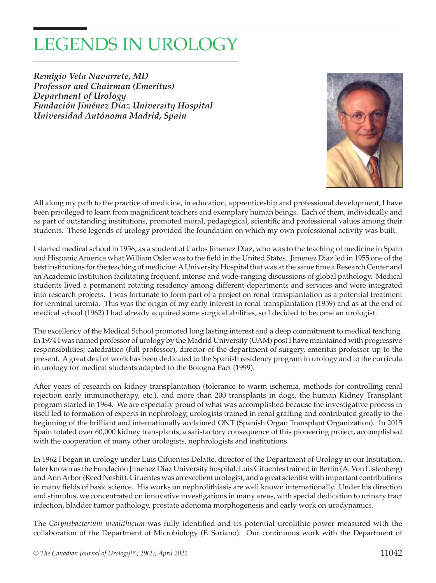## LEGENDS IN UROLOGY

*Remigio Vela Navarrete, MD Professor and Chairman (Emeritus) Department of Urology Fundación Jiménez Diaz University Hospital Universidad Autónoma Madrid, Spain*



All along my path to the practice of medicine, in education, apprenticeship and professional development, I have been privileged to learn from magnificent teachers and exemplary human beings. Each of them, individually and as part of outstanding institutions, promoted moral, pedagogical, scientific and professional values among their students. These legends of urology provided the foundation on which my own professional activity was built.

I started medical school in 1956, as a student of Carlos Jimenez Diaz, who was to the teaching of medicine in Spain and Hispanic America what William Osler was to the field in the United States. Jimenez Diaz led in 1955 one of the best institutions for the teaching of medicine: A University Hospital that was at the same time a Research Center and an Academic Institution facilitating frequent, intense and wide-ranging discussions of global pathology. Medical students lived a permanent rotating residency among different departments and services and were integrated into research projects. I was fortunate to form part of a project on renal transplantation as a potential treatment for terminal uremia. This was the origin of my early interest in renal transplantation (1959) and as at the end of medical school (1962) I had already acquired some surgical abilities, so I decided to become an urologist.

The excellency of the Medical School promoted long lasting interest and a deep commitment to medical teaching. In 1974 I was named professor of urology by the Madrid University (UAM) post I have maintained with progressive responsibilities; catedrático (full professor), director of the department of surgery, emeritus professor up to the present. A great deal of work has been dedicated to the Spanish residency program in urology and to the curricula in urology for medical students adapted to the Bologna Pact (1999).

After years of research on kidney transplantation (tolerance to warm ischemia, methods for controlling renal rejection early immunotherapy, etc.), and more than 200 transplants in dogs, the human Kidney Transplant program started in 1964. We are especially proud of what was accomplished because the investigative process in itself led to formation of experts in nephrology, urologists trained in renal grafting and contributed greatly to the beginning of the brilliant and internationally acclaimed ONT (Spanish Organ Transplant Organization). In 2015 Spain totaled over 60,000 kidney transplants, a satisfactory consequence of this pioneering project, accomplished with the cooperation of many other urologists, nephrologists and institutions.

In 1962 I began in urology under Luis Cifuentes Delatte, director of the Department of Urology in our Institution, later known as the Fundación Jimenez Diaz University hospital. Luis Cifuentes trained in Berlin (A. Von Listenberg) and Ann Arbor (Reed Nesbit). Cifuentes was an excellent urologist, and a great scientist with important contributions in many fields of basic science. His works on nephrolithiasis are well known internationally. Under his direction and stimulus, we concentrated on innovative investigations in many areas, with special dedication to urinary tract infection, bladder tumor pathology, prostate adenoma morphogenesis and early work on urodynamics.

The *Corynebacterium urealithicum* was fully identified and its potential ureolithic power measured with the collaboration of the Department of Microbiology (F. Soriano). Our continuous work with the Department of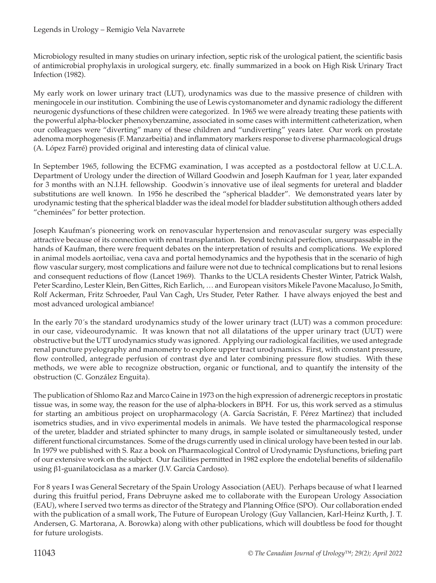Microbiology resulted in many studies on urinary infection, septic risk of the urological patient, the scientific basis of antimicrobial prophylaxis in urological surgery, etc. finally summarized in a book on High Risk Urinary Tract Infection (1982).

My early work on lower urinary tract (LUT), urodynamics was due to the massive presence of children with meningocele in our institution. Combining the use of Lewis cystomanometer and dynamic radiology the different neurogenic dysfunctions of these children were categorized. In 1965 we were already treating these patients with the powerful alpha-blocker phenoxybenzamine, associated in some cases with intermittent catheterization, when our colleagues were "diverting" many of these children and "undiverting" years later. Our work on prostate adenoma morphogenesis (F. Manzarbeitia) and inflammatory markers response to diverse pharmacological drugs (A. López Farré) provided original and interesting data of clinical value.

In September 1965, following the ECFMG examination, I was accepted as a postdoctoral fellow at U.C.L.A. Department of Urology under the direction of Willard Goodwin and Joseph Kaufman for 1 year, later expanded for 3 months with an N.I.H. fellowship. Goodwin´s innovative use of ileal segments for ureteral and bladder substitutions are well known. In 1956 he described the "spherical bladder". We demonstrated years later by urodynamic testing that the spherical bladder was the ideal model for bladder substitution although others added "cheminées" for better protection.

Joseph Kaufman's pioneering work on renovascular hypertension and renovascular surgery was especially attractive because of its connection with renal transplantation. Beyond technical perfection, unsurpassable in the hands of Kaufman, there were frequent debates on the interpretation of results and complications. We explored in animal models aortoiliac, vena cava and portal hemodynamics and the hypothesis that in the scenario of high flow vascular surgery, most complications and failure were not due to technical complications but to renal lesions and consequent reductions of flow (Lancet 1969). Thanks to the UCLA residents Chester Winter, Patrick Walsh, Peter Scardino, Lester Klein, Ben Gittes, Rich Earlich, … and European visitors Mikele Pavone Macaluso, Jo Smith, Rolf Ackerman, Fritz Schroeder, Paul Van Cagh, Urs Studer, Peter Rather. I have always enjoyed the best and most advanced urological ambiance!

In the early 70´s the standard urodynamics study of the lower urinary tract (LUT) was a common procedure: in our case, videourodynamic. It was known that not all dilatations of the upper urinary tract (UUT) were obstructive but the UTT urodynamics study was ignored. Applying our radiological facilities, we used antegrade renal puncture pyelography and manometry to explore upper tract urodynamics. First, with constant pressure, flow controlled, antegrade perfusion of contrast dye and later combining pressure flow studies. With these methods, we were able to recognize obstruction, organic or functional, and to quantify the intensity of the obstruction (C. González Enguita).

The publication of Shlomo Raz and Marco Caine in 1973 on the high expression of adrenergic receptors in prostatic tissue was, in some way, the reason for the use of alpha-blockers in BPH. For us, this work served as a stimulus for starting an ambitious project on uropharmacology (A. García Sacristán, F. Pérez Martínez) that included isometrics studies, and in vivo experimental models in animals. We have tested the pharmacological response of the ureter, bladder and striated sphincter to many drugs, in sample isolated or simultaneously tested, under different functional circumstances. Some of the drugs currently used in clinical urology have been tested in our lab. In 1979 we published with S. Raz a book on Pharmacological Control of Urodynamic Dysfunctions, briefing part of our extensive work on the subject. Our facilities permitted in 1982 explore the endotelial benefits of sildenafilo using β1-guanilatociclasa as a marker (J.V. García Cardoso).

For 8 years I was General Secretary of the Spain Urology Association (AEU). Perhaps because of what I learned during this fruitful period, Frans Debruyne asked me to collaborate with the European Urology Association (EAU), where I served two terms as director of the Strategy and Planning Office (SPO). Our collaboration ended with the publication of a small work, The Future of European Urology (Guy Vallancien, Karl-Heinz Kurth, J. T. Andersen, G. Martorana, A. Borowka) along with other publications, which will doubtless be food for thought for future urologists.